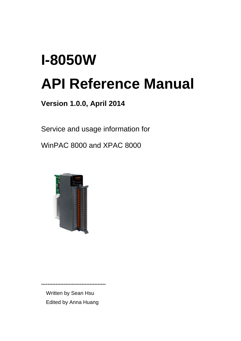# **I-8050W API Reference Manual**

**Version 1.0.0, April 2014**

Service and usage information for

WinPAC 8000 and XPAC 8000



Written by Sean Hsu Edited by Anna Huang

**----------------------------------------**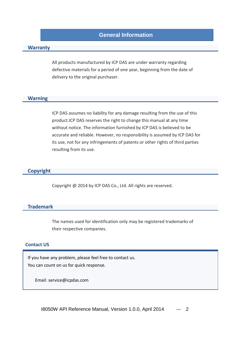## **General Information**

#### **Warranty**

All products manufactured by ICP DAS are under warranty regarding defective materials for a period of one year, beginning from the date of delivery to the original purchaser.

#### **Warning**

ICP DAS assumes no liability for any damage resulting from the use of this product.ICP DAS reserves the right to change this manual at any time without notice. The information furnished by ICP DAS is believed to be accurate and reliable. However, no responsibility is assumed by ICP DAS for its use, not for any infringements of patents or other rights of third parties resulting from its use.

#### **Copyright**

Copyright @ 2014 by ICP DAS Co., Ltd. All rights are reserved.

#### **Trademark**

The names used for identification only may be registered trademarks of their respective companies.

#### **Contact US**

If you have any problem, please feel free to contact us. You can count on us for quick response.

Email: [service@icpdas.com](mailto:service@icpdas.com)

I8050W API Reference Manual, Version 1.0.0, April 2014 --- 2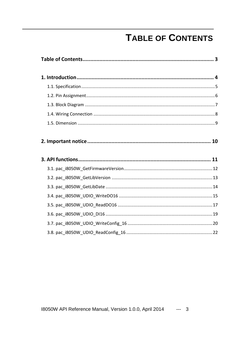# **TABLE OF CONTENTS**

<span id="page-2-0"></span>

18050W API Reference Manual, Version 1.0.0, April 2014 --- 3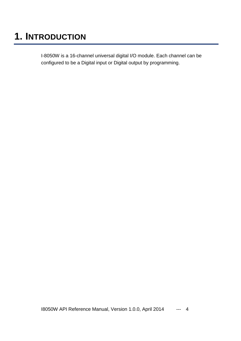# <span id="page-3-0"></span>**1. INTRODUCTION**

I-8050W is a 16-channel universal digital I/O module. Each channel can be configured to be a Digital input or Digital output by programming.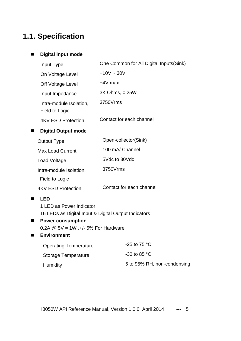# <span id="page-4-0"></span>**1.1. Specification**

#### **Digital input mode**

| Input Type                                | One Common for All Digital Inputs (Sink) |
|-------------------------------------------|------------------------------------------|
| On Voltage Level                          | $+10V \sim 30V$                          |
| Off Voltage Level                         | $+4V$ max                                |
| Input Impedance                           | 3K Ohms, 0.25W                           |
| Intra-module Isolation,<br>Field to Logic | 3750Vrms                                 |
| 4KV ESD Protection                        | Contact for each channel                 |
| <b>Digital Output mode</b>                |                                          |
| <b>Output Type</b>                        | Open-collector(Sink)                     |
| <b>Max Load Current</b>                   | 100 mA/ Channel                          |
| Load Voltage                              | 5Vdc to 30Vdc                            |
| Intra-module Isolation,                   | 3750Vrms                                 |
| Field to Logic                            |                                          |
| 4KV ESD Protection                        | Contact for each channel                 |
| <b>LED</b>                                |                                          |

#### **LED**

1 LED as Power Indicator 16 LEDs as Digital Input & Digital Output Indicators

## **Power consumption**

0.2A  $@$  5V = 1W, +/- 5% For Hardware

## **Environment**

| <b>Operating Temperature</b> | -25 to 75 $^{\circ}$ C      |
|------------------------------|-----------------------------|
| Storage Temperature          | $-30$ to 85 °C              |
| Humidity                     | 5 to 95% RH, non-condensing |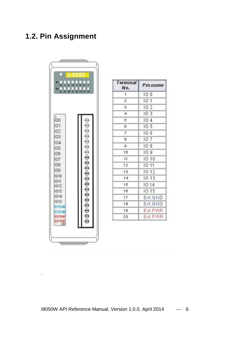# <span id="page-5-0"></span>**1.2. Pin Assignment**



.

| <b>Terminal</b><br>No.  | <b>Pin name</b> |
|-------------------------|-----------------|
| $\mathcal{L}$           | 100             |
| $\overline{\mathbf{2}}$ | 101             |
| $\mathbf{3}$            | 102             |
| $\overline{4}$          | IO 3            |
| 5                       | 104             |
| 6                       | 10 <sub>5</sub> |
| 7                       | 106             |
| 8                       | 107             |
| $\mathbf{Q}$            | IO 8            |
| 10                      | 109             |
| 11                      | 10 10           |
| 12                      | IO 11           |
| 13                      | 10 12           |
| 14                      | 10 13           |
| 15                      | 10.14           |
| 16                      | 10 15           |
| 17                      | Ext.GND         |
| 18                      | Ext. GND        |
| 19                      | Ext.PWR         |
| 20                      | Ext.PWR         |

I8050W API Reference Manual, Version 1.0.0, April 2014 --- 6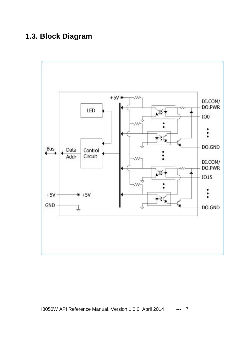# <span id="page-6-0"></span>**1.3. Block Diagram**

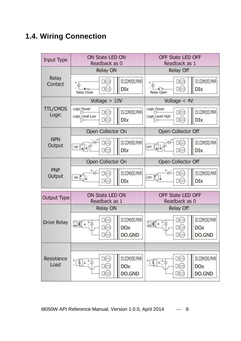# <span id="page-7-0"></span>**1.4. Wiring Connection**

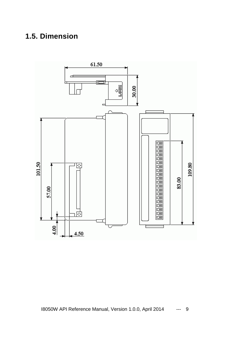# <span id="page-8-0"></span>**1.5. Dimension**

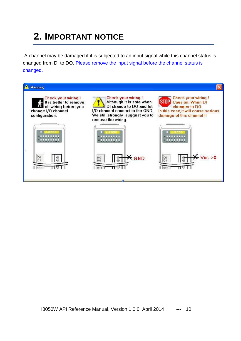# <span id="page-9-0"></span>**2. IMPORTANT NOTICE**

A channel may be damaged if it is subjected to an input signal while this channel status is changed from DI to DO. Please remove the input signal before the channel status is changed.

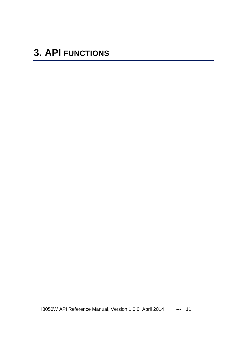<span id="page-10-0"></span>I8050W API Reference Manual, Version 1.0.0, April 2014 --- 11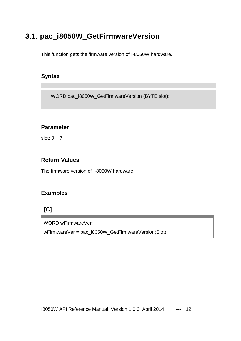# <span id="page-11-0"></span>**3.1. pac\_i8050W\_GetFirmwareVersion**

This function gets the firmware version of I-8050W hardware.

## **Syntax**

WORD pac\_i8050W\_GetFirmwareVersion (BYTE slot);

## **Parameter**

slot:  $0 \sim 7$ 

## **Return Values**

The firmware version of I-8050W hardware

## **Examples**

## **[C]**

WORD wFirmwareVer;

wFirmwareVer = pac\_i8050W\_GetFirmwareVersion(Slot)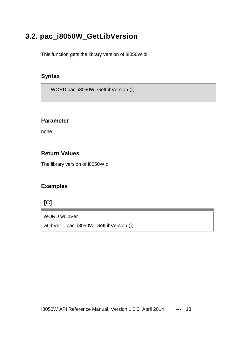# <span id="page-12-0"></span>**3.2. pac\_i8050W\_GetLibVersion**

This function gets the library version of i8050W.dll.

## **Syntax**

WORD pac\_i8050W\_GetLibVersion ();

#### **Parameter**

none

## **Return Values**

The library version of i8050W.dll

## **Examples**

## **[C]**

WORD wLibVer wLibVer = pac\_i8050W\_GetLibVersion ();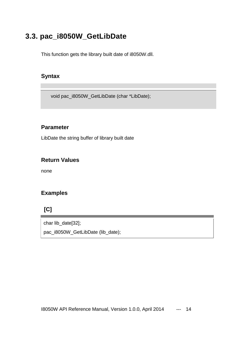# <span id="page-13-0"></span>**3.3. pac\_i8050W\_GetLibDate**

This function gets the library built date of i8050W.dll.

## **Syntax**

void pac\_i8050W\_GetLibDate (char \*LibDate);

#### **Parameter**

LibDate the string buffer of library built date

## **Return Values**

none

## **Examples**

## **[C]**

char lib\_date[32]; pac\_i8050W\_GetLibDate (lib\_date);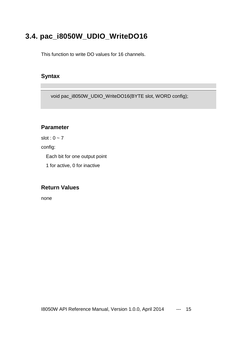# <span id="page-14-0"></span>**3.4. pac\_i8050W\_UDIO\_WriteDO16**

This function to write DO values for 16 channels.

## **Syntax**

void pac\_i8050W\_UDIO\_WriteDO16(BYTE slot, WORD config);

## **Parameter**

slot :  $0 \sim 7$ 

config:

Each bit for one output point

1 for active, 0 for inactive

## **Return Values**

none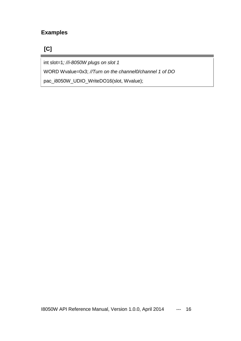## **Examples**

**[C]**

int slot=1*; //i-8050W plugs on slot 1*

WORD Wvalue=0x3; *//Turn on the channel0/channel 1 of DO*

pac\_i8050W\_UDIO\_WriteDO16(slot, Wvalue);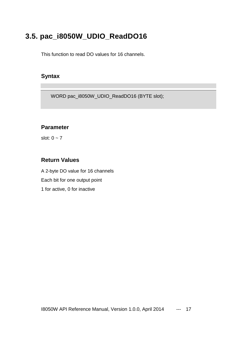# <span id="page-16-0"></span>**3.5. pac\_i8050W\_UDIO\_ReadDO16**

This function to read DO values for 16 channels.

## **Syntax**

WORD pac\_i8050W\_UDIO\_ReadDO16 (BYTE slot);

## **Parameter**

slot:  $0 \sim 7$ 

## **Return Values**

A 2-byte DO value for 16 channels Each bit for one output point 1 for active, 0 for inactive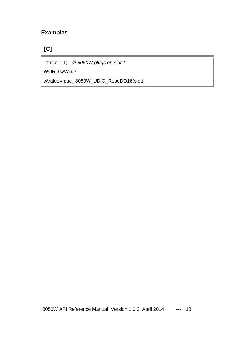## **Examples**

# **[C]**

int slot = 1; *//i-8050W plugs on slot 1*

WORD wValue;

wValue= pac\_i8050W\_UDIO\_ReadDO16(slot);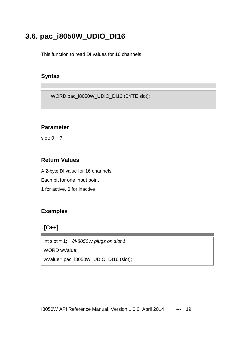# <span id="page-18-0"></span>**3.6. pac\_i8050W\_UDIO\_DI16**

This function to read DI values for 16 channels.

## **Syntax**

WORD pac\_i8050W\_UDIO\_DI16 (BYTE slot);

## **Parameter**

slot:  $0 \sim 7$ 

## **Return Values**

A 2-byte DI value for 16 channels Each bit for one input point 1 for active, 0 for inactive

## **Examples**

## **[C++]**

int slot = 1; *//i-8050W plugs on slot 1*

WORD wValue;

wValue= pac\_i8050W\_UDIO\_DI16 (slot);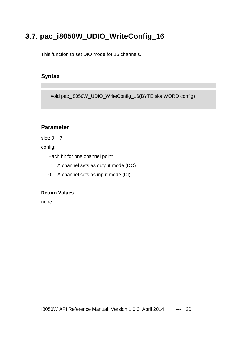# <span id="page-19-0"></span>**3.7. pac\_i8050W\_UDIO\_WriteConfig\_16**

This function to set DIO mode for 16 channels.

## **Syntax**

void pac\_i8050W\_UDIO\_WriteConfig\_16(BYTE slot,WORD config)

## **Parameter**

slot:  $0 \sim 7$ 

config:

Each bit for one channel point

- 1: A channel sets as output mode (DO)
- 0: A channel sets as input mode (DI)

#### **Return Values**

none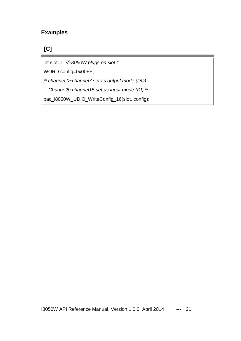## **Examples**

## **[C]**

int slot=1; *//i-8050W plugs on slot 1*

WORD config=0x00FF;

*/\* channel 0~channel7 set as output mode (DO)*

*Channel8~channel15 set as input mode (DI) \*/*

pac\_i8050W\_UDIO\_WriteConfig\_16(slot, config);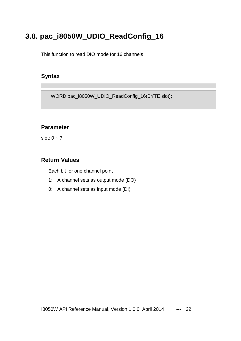# <span id="page-21-0"></span>**3.8. pac\_i8050W\_UDIO\_ReadConfig\_16**

This function to read DIO mode for 16 channels

## **Syntax**

WORD pac\_i8050W\_UDIO\_ReadConfig\_16(BYTE slot);

## **Parameter**

slot:  $0 \sim 7$ 

#### **Return Values**

Each bit for one channel point

- 1: A channel sets as output mode (DO)
- 0: A channel sets as input mode (DI)